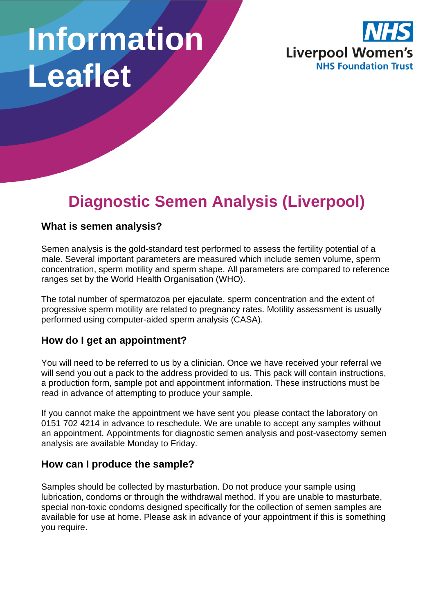# **Information Leaflet**



# **Diagnostic Semen Analysis (Liverpool)**

#### **What is semen analysis?**

Semen analysis is the gold-standard test performed to assess the fertility potential of a male. Several important parameters are measured which include semen volume, sperm concentration, sperm motility and sperm shape. All parameters are compared to reference ranges set by the World Health Organisation (WHO).

The total number of spermatozoa per ejaculate, sperm concentration and the extent of progressive sperm motility are related to pregnancy rates. Motility assessment is usually performed using computer-aided sperm analysis (CASA).

### **How do I get an appointment?**

You will need to be referred to us by a clinician. Once we have received your referral we will send you out a pack to the address provided to us. This pack will contain instructions, a production form, sample pot and appointment information. These instructions must be read in advance of attempting to produce your sample.

If you cannot make the appointment we have sent you please contact the laboratory on 0151 702 4214 in advance to reschedule. We are unable to accept any samples without an appointment. Appointments for diagnostic semen analysis and post-vasectomy semen analysis are available Monday to Friday.

#### **How can I produce the sample?**

Samples should be collected by masturbation. Do not produce your sample using lubrication, condoms or through the withdrawal method. If you are unable to masturbate, special non-toxic condoms designed specifically for the collection of semen samples are available for use at home. Please ask in advance of your appointment if this is something you require.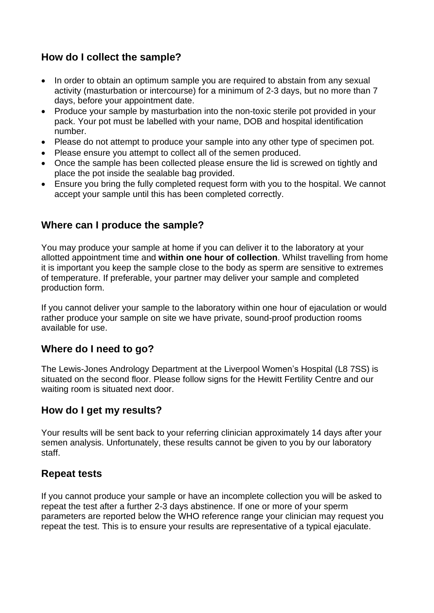# **How do I collect the sample?**

- In order to obtain an optimum sample you are required to abstain from any sexual activity (masturbation or intercourse) for a minimum of 2-3 days, but no more than 7 days, before your appointment date.
- Produce your sample by masturbation into the non-toxic sterile pot provided in your pack. Your pot must be labelled with your name, DOB and hospital identification number.
- Please do not attempt to produce your sample into any other type of specimen pot.
- Please ensure you attempt to collect all of the semen produced.
- Once the sample has been collected please ensure the lid is screwed on tightly and place the pot inside the sealable bag provided.
- Ensure you bring the fully completed request form with you to the hospital. We cannot accept your sample until this has been completed correctly.

#### **Where can I produce the sample?**

You may produce your sample at home if you can deliver it to the laboratory at your allotted appointment time and **within one hour of collection**. Whilst travelling from home it is important you keep the sample close to the body as sperm are sensitive to extremes of temperature. If preferable, your partner may deliver your sample and completed production form.

If you cannot deliver your sample to the laboratory within one hour of ejaculation or would rather produce your sample on site we have private, sound-proof production rooms available for use.

#### **Where do I need to go?**

The Lewis-Jones Andrology Department at the Liverpool Women's Hospital (L8 7SS) is situated on the second floor. Please follow signs for the Hewitt Fertility Centre and our waiting room is situated next door.

#### **How do I get my results?**

Your results will be sent back to your referring clinician approximately 14 days after your semen analysis. Unfortunately, these results cannot be given to you by our laboratory staff.

#### **Repeat tests**

If you cannot produce your sample or have an incomplete collection you will be asked to repeat the test after a further 2-3 days abstinence. If one or more of your sperm parameters are reported below the WHO reference range your clinician may request you repeat the test. This is to ensure your results are representative of a typical ejaculate.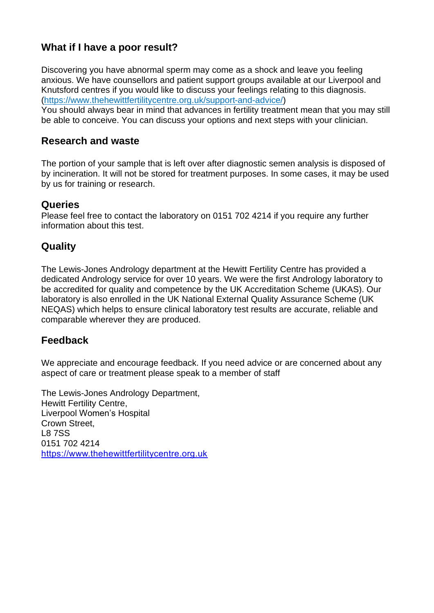# **What if I have a poor result?**

Discovering you have abnormal sperm may come as a shock and leave you feeling anxious. We have counsellors and patient support groups available at our Liverpool and Knutsford centres if you would like to discuss your feelings relating to this diagnosis. [\(https://www.thehewittfertilitycentre.org.uk/support-and-advice/\)](https://www.thehewittfertilitycentre.org.uk/support-and-advice/)

You should always bear in mind that advances in fertility treatment mean that you may still be able to conceive. You can discuss your options and next steps with your clinician.

#### **Research and waste**

The portion of your sample that is left over after diagnostic semen analysis is disposed of by incineration. It will not be stored for treatment purposes. In some cases, it may be used by us for training or research.

#### **Queries**

Please feel free to contact the laboratory on 0151 702 4214 if you require any further information about this test.

## **Quality**

The Lewis-Jones Andrology department at the Hewitt Fertility Centre has provided a dedicated Andrology service for over 10 years. We were the first Andrology laboratory to be accredited for quality and competence by the UK Accreditation Scheme (UKAS). Our laboratory is also enrolled in the UK National External Quality Assurance Scheme (UK NEQAS) which helps to ensure clinical laboratory test results are accurate, reliable and comparable wherever they are produced.

#### **Feedback**

We appreciate and encourage feedback. If you need advice or are concerned about any aspect of care or treatment please speak to a member of staff

The Lewis-Jones Andrology Department, Hewitt Fertility Centre, Liverpool Women's Hospital Crown Street, L8 7SS 0151 702 4214 [https://www.thehewittfertilitycentre.org.uk](https://www.thehewittfertilitycentre.org.uk/)